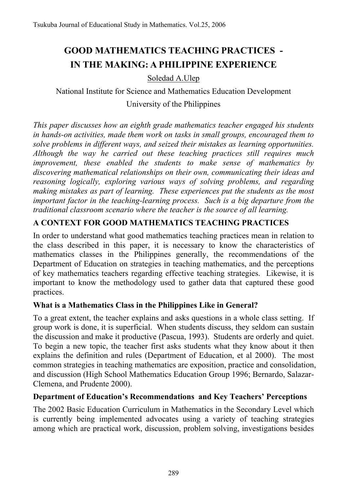# **GOOD MATHEMATICS TEACHING PRACTICES - IN THE MAKING: A PHILIPPINE EXPERIENCE**

Soledad A.Ulep

National Institute for Science and Mathematics Education Development University of the Philippines

*This paper discusses how an eighth grade mathematics teacher engaged his students in hands-on activities, made them work on tasks in small groups, encouraged them to solve problems in different ways, and seized their mistakes as learning opportunities. Although the way he carried out these teaching practices still requires much improvement, these enabled the students to make sense of mathematics by discovering mathematical relationships on their own, communicating their ideas and reasoning logically, exploring various ways of solving problems, and regarding making mistakes as part of learning. These experiences put the students as the most important factor in the teaching-learning process. Such is a big departure from the traditional classroom scenario where the teacher is the source of all learning.* 

# **A CONTEXT FOR GOOD MATHEMATICS TEACHING PRACTICES**

In order to understand what good mathematics teaching practices mean in relation to the class described in this paper, it is necessary to know the characteristics of mathematics classes in the Philippines generally, the recommendations of the Department of Education on strategies in teaching mathematics, and the perceptions of key mathematics teachers regarding effective teaching strategies. Likewise, it is important to know the methodology used to gather data that captured these good practices.

## **What is a Mathematics Class in the Philippines Like in General?**

To a great extent, the teacher explains and asks questions in a whole class setting. If group work is done, it is superficial. When students discuss, they seldom can sustain the discussion and make it productive (Pascua, 1993). Students are orderly and quiet. To begin a new topic, the teacher first asks students what they know about it then explains the definition and rules (Department of Education, et al 2000). The most common strategies in teaching mathematics are exposition, practice and consolidation, and discussion (High School Mathematics Education Group 1996; Bernardo, Salazar-Clemena, and Prudente 2000).

## **Department of Education's Recommendations and Key Teachers' Perceptions**

The 2002 Basic Education Curriculum in Mathematics in the Secondary Level which is currently being implemented advocates using a variety of teaching strategies among which are practical work, discussion, problem solving, investigations besides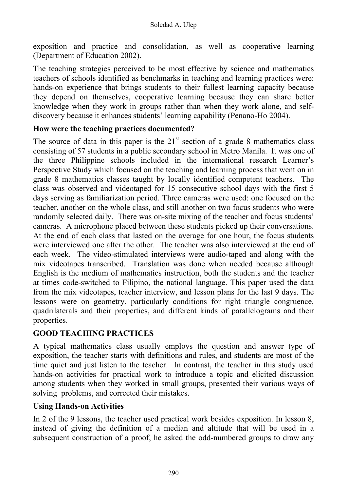exposition and practice and consolidation, as well as cooperative learning (Department of Education 2002).

The teaching strategies perceived to be most effective by science and mathematics teachers of schools identified as benchmarks in teaching and learning practices were: hands-on experience that brings students to their fullest learning capacity because they depend on themselves, cooperative learning because they can share better knowledge when they work in groups rather than when they work alone, and selfdiscovery because it enhances students' learning capability (Penano-Ho 2004).

#### **How were the teaching practices documented?**

The source of data in this paper is the  $21<sup>st</sup>$  section of a grade 8 mathematics class consisting of 57 students in a public secondary school in Metro Manila. It was one of the three Philippine schools included in the international research Learner's Perspective Study which focused on the teaching and learning process that went on in grade 8 mathematics classes taught by locally identified competent teachers. The class was observed and videotaped for 15 consecutive school days with the first 5 days serving as familiarization period. Three cameras were used: one focused on the teacher, another on the whole class, and still another on two focus students who were randomly selected daily. There was on-site mixing of the teacher and focus students' cameras. A microphone placed between these students picked up their conversations. At the end of each class that lasted on the average for one hour, the focus students were interviewed one after the other. The teacher was also interviewed at the end of each week. The video-stimulated interviews were audio-taped and along with the mix videotapes transcribed. Translation was done when needed because although English is the medium of mathematics instruction, both the students and the teacher at times code-switched to Filipino, the national language. This paper used the data from the mix videotapes, teacher interview, and lesson plans for the last 9 days. The lessons were on geometry, particularly conditions for right triangle congruence, quadrilaterals and their properties, and different kinds of parallelograms and their properties.

## **GOOD TEACHING PRACTICES**

A typical mathematics class usually employs the question and answer type of exposition, the teacher starts with definitions and rules, and students are most of the time quiet and just listen to the teacher. In contrast, the teacher in this study used hands-on activities for practical work to introduce a topic and elicited discussion among students when they worked in small groups, presented their various ways of solving problems, and corrected their mistakes.

## **Using Hands-on Activities**

In 2 of the 9 lessons, the teacher used practical work besides exposition. In lesson 8, instead of giving the definition of a median and altitude that will be used in a subsequent construction of a proof, he asked the odd-numbered groups to draw any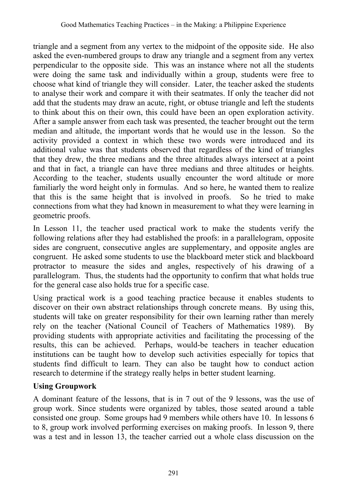triangle and a segment from any vertex to the midpoint of the opposite side. He also asked the even-numbered groups to draw any triangle and a segment from any vertex perpendicular to the opposite side. This was an instance where not all the students were doing the same task and individually within a group, students were free to choose what kind of triangle they will consider. Later, the teacher asked the students to analyse their work and compare it with their seatmates. If only the teacher did not add that the students may draw an acute, right, or obtuse triangle and left the students to think about this on their own, this could have been an open exploration activity. After a sample answer from each task was presented, the teacher brought out the term median and altitude, the important words that he would use in the lesson. So the activity provided a context in which these two words were introduced and its additional value was that students observed that regardless of the kind of triangles that they drew, the three medians and the three altitudes always intersect at a point and that in fact, a triangle can have three medians and three altitudes or heights. According to the teacher, students usually encounter the word altitude or more familiarly the word height only in formulas. And so here, he wanted them to realize that this is the same height that is involved in proofs. So he tried to make connections from what they had known in measurement to what they were learning in geometric proofs.

In Lesson 11, the teacher used practical work to make the students verify the following relations after they had established the proofs: in a parallelogram, opposite sides are congruent, consecutive angles are supplementary, and opposite angles are congruent. He asked some students to use the blackboard meter stick and blackboard protractor to measure the sides and angles, respectively of his drawing of a parallelogram. Thus, the students had the opportunity to confirm that what holds true for the general case also holds true for a specific case.

Using practical work is a good teaching practice because it enables students to discover on their own abstract relationships through concrete means. By using this, students will take on greater responsibility for their own learning rather than merely rely on the teacher (National Council of Teachers of Mathematics 1989). By providing students with appropriate activities and facilitating the processing of the results, this can be achieved. Perhaps, would-be teachers in teacher education institutions can be taught how to develop such activities especially for topics that students find difficult to learn. They can also be taught how to conduct action research to determine if the strategy really helps in better student learning.

## **Using Groupwork**

A dominant feature of the lessons, that is in 7 out of the 9 lessons, was the use of group work. Since students were organized by tables, those seated around a table consisted one group. Some groups had 9 members while others have 10. In lessons 6 to 8, group work involved performing exercises on making proofs. In lesson 9, there was a test and in lesson 13, the teacher carried out a whole class discussion on the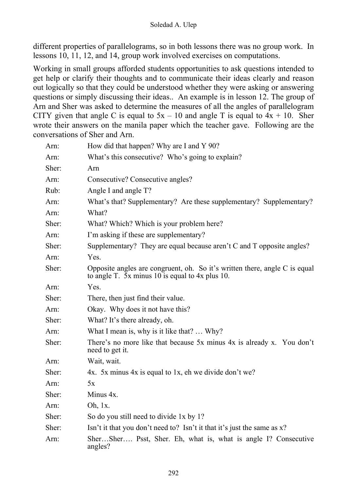different properties of parallelograms, so in both lessons there was no group work. In lessons 10, 11, 12, and 14, group work involved exercises on computations.

Working in small groups afforded students opportunities to ask questions intended to get help or clarify their thoughts and to communicate their ideas clearly and reason out logically so that they could be understood whether they were asking or answering questions or simply discussing their ideas.. An example is in lesson 12. The group of Arn and Sher was asked to determine the measures of all the angles of parallelogram CITY given that angle C is equal to  $5x - 10$  and angle T is equal to  $4x + 10$ . Sher wrote their answers on the manila paper which the teacher gave. Following are the conversations of Sher and Arn.

| Arn:  | How did that happen? Why are I and Y 90?                                                                                                |
|-------|-----------------------------------------------------------------------------------------------------------------------------------------|
| Arn:  | What's this consecutive? Who's going to explain?                                                                                        |
| Sher: | Arn                                                                                                                                     |
| Arn:  | Consecutive? Consecutive angles?                                                                                                        |
| Rub:  | Angle I and angle T?                                                                                                                    |
| Arn:  | What's that? Supplementary? Are these supplementary? Supplementary?                                                                     |
| Arn:  | What?                                                                                                                                   |
| Sher: | What? Which? Which is your problem here?                                                                                                |
| Arn:  | I'm asking if these are supplementary?                                                                                                  |
| Sher: | Supplementary? They are equal because aren't C and T opposite angles?                                                                   |
| Arn:  | Yes.                                                                                                                                    |
| Sher: | Opposite angles are congruent, oh. So it's written there, angle $C$ is equal<br>to angle T. $\bar{5}x$ minus 10 is equal to 4x plus 10. |
| Arn:  | Yes.                                                                                                                                    |
| Sher: | There, then just find their value.                                                                                                      |
| Arn:  | Okay. Why does it not have this?                                                                                                        |
| Sher: | What? It's there already, oh.                                                                                                           |
| Arn:  | What I mean is, why is it like that?  Why?                                                                                              |
| Sher: | There's no more like that because 5x minus 4x is already x. You don't<br>need to get it.                                                |
| Arn:  | Wait, wait.                                                                                                                             |
| Sher: | 4x. 5x minus 4x is equal to 1x, eh we divide don't we?                                                                                  |
| Arn:  | 5x                                                                                                                                      |
| Sher: | Minus 4x.                                                                                                                               |
| Arn:  | Oh, 1x.                                                                                                                                 |
| Sher: | So do you still need to divide 1x by 1?                                                                                                 |
| Sher: | Isn't it that you don't need to? Isn't it that it's just the same as $x$ ?                                                              |
| Arn:  | SherSher Psst, Sher. Eh, what is, what is angle I? Consecutive<br>angles?                                                               |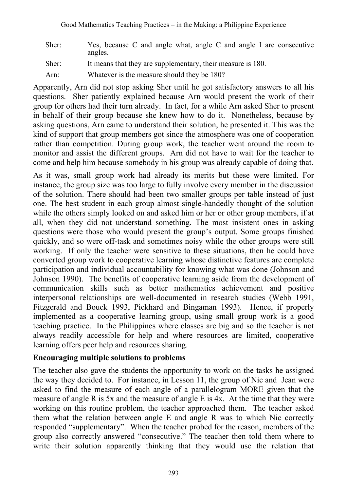| Sher: | Yes, because C and angle what, angle C and angle I are consecutive<br>angles. |
|-------|-------------------------------------------------------------------------------|
| Sher: | It means that they are supplementary, their measure is 180.                   |
| Arn:  | Whatever is the measure should they be 180?                                   |

Apparently, Arn did not stop asking Sher until he got satisfactory answers to all his questions. Sher patiently explained because Arn would present the work of their group for others had their turn already. In fact, for a while Arn asked Sher to present in behalf of their group because she knew how to do it. Nonetheless, because by asking questions, Arn came to understand their solution, he presented it. This was the kind of support that group members got since the atmosphere was one of cooperation rather than competition. During group work, the teacher went around the room to monitor and assist the different groups. Arn did not have to wait for the teacher to come and help him because somebody in his group was already capable of doing that.

As it was, small group work had already its merits but these were limited. For instance, the group size was too large to fully involve every member in the discussion of the solution. There should had been two smaller groups per table instead of just one. The best student in each group almost single-handedly thought of the solution while the others simply looked on and asked him or her or other group members, if at all, when they did not understand something. The most insistent ones in asking questions were those who would present the group's output. Some groups finished quickly, and so were off-task and sometimes noisy while the other groups were still working. If only the teacher were sensitive to these situations, then he could have converted group work to cooperative learning whose distinctive features are complete participation and individual accountability for knowing what was done (Johnson and Johnson 1990). The benefits of cooperative learning aside from the development of communication skills such as better mathematics achievement and positive interpersonal relationships are well-documented in research studies (Webb 1991, Fitzgerald and Bouck 1993, Pickhard and Bingaman 1993). Hence, if properly implemented as a cooperative learning group, using small group work is a good teaching practice. In the Philippines where classes are big and so the teacher is not always readily accessible for help and where resources are limited, cooperative learning offers peer help and resources sharing.

## **Encouraging multiple solutions to problems**

The teacher also gave the students the opportunity to work on the tasks he assigned the way they decided to. For instance, in Lesson 11, the group of Nic and Jean were asked to find the measure of each angle of a parallelogram MORE given that the measure of angle R is 5x and the measure of angle E is 4x. At the time that they were working on this routine problem, the teacher approached them. The teacher asked them what the relation between angle E and angle R was to which Nic correctly responded "supplementary". When the teacher probed for the reason, members of the group also correctly answered "consecutive." The teacher then told them where to write their solution apparently thinking that they would use the relation that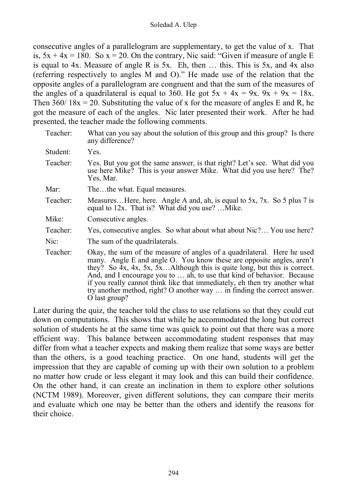consecutive angles of a parallelogram are supplementary, to get the value of x. That is,  $5x + 4x = 180$ . So  $x = 20$ . On the contrary, Nic said: "Given if measure of angle E is equal to 4x. Measure of angle R is 5x. Eh, then … this. This is 5x, and 4x also (referring respectively to angles M and O)." He made use of the relation that the opposite angles of a parallelogram are congruent and that the sum of the measures of the angles of a quadrilateral is equal to 360. He got  $5x + 4x = 9x$ .  $9x + 9x = 18x$ . Then  $360/18x = 20$ . Substituting the value of x for the measure of angles E and R, he got the measure of each of the angles. Nic later presented their work. After he had presented, the teacher made the following comments.

| Teacher: | What can you say about the solution of this group and this group? Is there<br>any difference?                                                                                                                                                                                                                                                                                                                                                                                                 |
|----------|-----------------------------------------------------------------------------------------------------------------------------------------------------------------------------------------------------------------------------------------------------------------------------------------------------------------------------------------------------------------------------------------------------------------------------------------------------------------------------------------------|
| Student: | Yes.                                                                                                                                                                                                                                                                                                                                                                                                                                                                                          |
| Teacher: | Yes. But you got the same answer, is that right? Let's see. What did you<br>use here Mike? This is your answer Mike. What did you use here? The?<br>Yes, Mar.                                                                                                                                                                                                                                                                                                                                 |
| Mar:     | Thethe what. Equal measures.                                                                                                                                                                                                                                                                                                                                                                                                                                                                  |
| Teacher: | MeasuresHere, here. Angle A and, ah, is equal to 5x, 7x. So 5 plus 7 is<br>equal to 12x. That is? What did you use? Mike.                                                                                                                                                                                                                                                                                                                                                                     |
| Mike:    | Consecutive angles.                                                                                                                                                                                                                                                                                                                                                                                                                                                                           |
| Teacher: | Yes, consecutive angles. So what about what about Nic? You use here?                                                                                                                                                                                                                                                                                                                                                                                                                          |
| Nic:     | The sum of the quadrilaterals.                                                                                                                                                                                                                                                                                                                                                                                                                                                                |
| Teacher: | Okay, the sum of the measure of angles of a quadrilateral. Here he used<br>many. Angle E and angle O. You know these are opposite angles, aren't<br>they? So $4x$ , $4x$ , $5x$ , $5x$ Although this is quite long, but this is correct.<br>And, and I encourage you to  ah, to use that kind of behavior. Because<br>if you really cannot think like that immediately, eh then try another what<br>try another method, right? O another way  in finding the correct answer.<br>O last group? |

Later during the quiz, the teacher told the class to use relations so that they could cut down on computations. This shows that while he accommodated the long but correct solution of students he at the same time was quick to point out that there was a more efficient way. This balance between accommodating student responses that may differ from what a teacher expects and making them realize that some ways are better than the others, is a good teaching practice. On one hand, students will get the impression that they are capable of coming up with their own solution to a problem no matter how crude or less elegant it may look and this can build their confidence. On the other hand, it can create an inclination in them to explore other solutions (NCTM 1989). Moreover, given different solutions, they can compare their merits and evaluate which one may be better than the others and identify the reasons for their choice.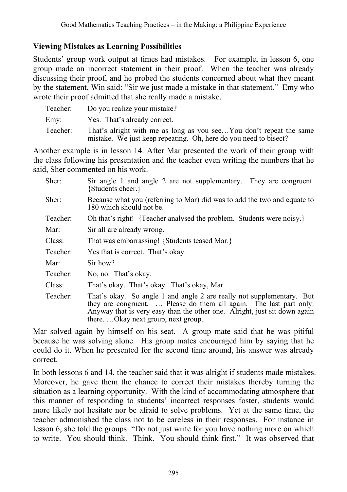## **Viewing Mistakes as Learning Possibilities**

Students' group work output at times had mistakes. For example, in lesson 6, one group made an incorrect statement in their proof. When the teacher was already discussing their proof, and he probed the students concerned about what they meant by the statement, Win said: "Sir we just made a mistake in that statement." Emy who wrote their proof admitted that she really made a mistake.

| Teacher: | Do you realize your mistake?                                                                                                           |
|----------|----------------------------------------------------------------------------------------------------------------------------------------|
| Emy:     | Yes. That's already correct.                                                                                                           |
| Teacher: | That's alright with me as long as you seeYou don't repeat the same<br>mistake. We just keep repeating. Oh, here do you need to bisect? |

Another example is in lesson 14. After Mar presented the work of their group with the class following his presentation and the teacher even writing the numbers that he said, Sher commented on his work.

| Sher:    | Sir angle 1 and angle 2 are not supplementary. They are congruent.<br>{Students cheer.}                                                                                                                                                                       |
|----------|---------------------------------------------------------------------------------------------------------------------------------------------------------------------------------------------------------------------------------------------------------------|
| Sher:    | Because what you (referring to Mar) did was to add the two and equate to<br>180 which should not be.                                                                                                                                                          |
| Teacher: | Oh that's right! {Teacher analysed the problem. Students were noisy.}                                                                                                                                                                                         |
| Mar:     | Sir all are already wrong.                                                                                                                                                                                                                                    |
| Class:   | That was embarrassing! {Students teased Mar.}                                                                                                                                                                                                                 |
| Teacher: | Yes that is correct. That's okay.                                                                                                                                                                                                                             |
| Mar:     | Sir how?                                                                                                                                                                                                                                                      |
| Teacher: | No, no. That's okay.                                                                                                                                                                                                                                          |
| Class:   | That's okay. That's okay. That's okay, Mar.                                                                                                                                                                                                                   |
| Teacher: | That's okay. So angle 1 and angle 2 are really not supplementary. But<br>they are congruent.  Please do them all again. The last part only.<br>Anyway that is very easy than the other one. Alright, just sit down again<br>thereOkay next group, next group. |

Mar solved again by himself on his seat. A group mate said that he was pitiful because he was solving alone. His group mates encouraged him by saying that he could do it. When he presented for the second time around, his answer was already correct.

In both lessons 6 and 14, the teacher said that it was alright if students made mistakes. Moreover, he gave them the chance to correct their mistakes thereby turning the situation as a learning opportunity. With the kind of accommodating atmosphere that this manner of responding to students' incorrect responses foster, students would more likely not hesitate nor be afraid to solve problems. Yet at the same time, the teacher admonished the class not to be careless in their responses. For instance in lesson 6, she told the groups: "Do not just write for you have nothing more on which to write. You should think. Think. You should think first." It was observed that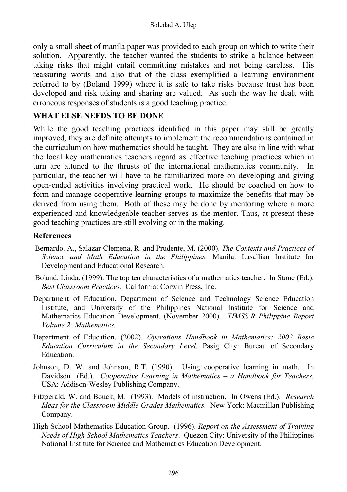only a small sheet of manila paper was provided to each group on which to write their solution. Apparently, the teacher wanted the students to strike a balance between taking risks that might entail committing mistakes and not being careless. His reassuring words and also that of the class exemplified a learning environment referred to by (Boland 1999) where it is safe to take risks because trust has been developed and risk taking and sharing are valued. As such the way he dealt with erroneous responses of students is a good teaching practice.

## **WHAT ELSE NEEDS TO BE DONE**

While the good teaching practices identified in this paper may still be greatly improved, they are definite attempts to implement the recommendations contained in the curriculum on how mathematics should be taught. They are also in line with what the local key mathematics teachers regard as effective teaching practices which in turn are attuned to the thrusts of the international mathematics community. particular, the teacher will have to be familiarized more on developing and giving open-ended activities involving practical work. He should be coached on how to form and manage cooperative learning groups to maximize the benefits that may be derived from using them. Both of these may be done by mentoring where a more experienced and knowledgeable teacher serves as the mentor. Thus, at present these good teaching practices are still evolving or in the making.

#### **References**

- Bernardo, A., Salazar-Clemena, R. and Prudente, M. (2000). *The Contexts and Practices of Science and Math Education in the Philippines.* Manila: Lasallian Institute for Development and Educational Research.
- Boland, Linda. (1999). The top ten characteristics of a mathematics teacher. In Stone (Ed.). *Best Classroom Practices.* California: Corwin Press, Inc.
- Department of Education, Department of Science and Technology Science Education Institute, and University of the Philippines National Institute for Science and Mathematics Education Development. (November 2000). *TIMSS-R Philippine Report Volume 2: Mathematics.*
- Department of Education. (2002). *Operations Handbook in Mathematics: 2002 Basic Education Curriculum in the Secondary Level.* Pasig City: Bureau of Secondary Education.
- Johnson, D. W. and Johnson, R.T. (1990). Using cooperative learning in math. In Davidson (Ed.). *Cooperative Learning in Mathematics – a Handbook for Teachers.*  USA: Addison-Wesley Publishing Company.
- Fitzgerald, W. and Bouck, M. (1993). Models of instruction. In Owens (Ed.). *Research Ideas for the Classroom Middle Grades Mathematics.* New York: Macmillan Publishing Company.
- High School Mathematics Education Group. (1996). *Report on the Assessment of Training Needs of High School Mathematics Teachers*. Quezon City: University of the Philippines National Institute for Science and Mathematics Education Development.